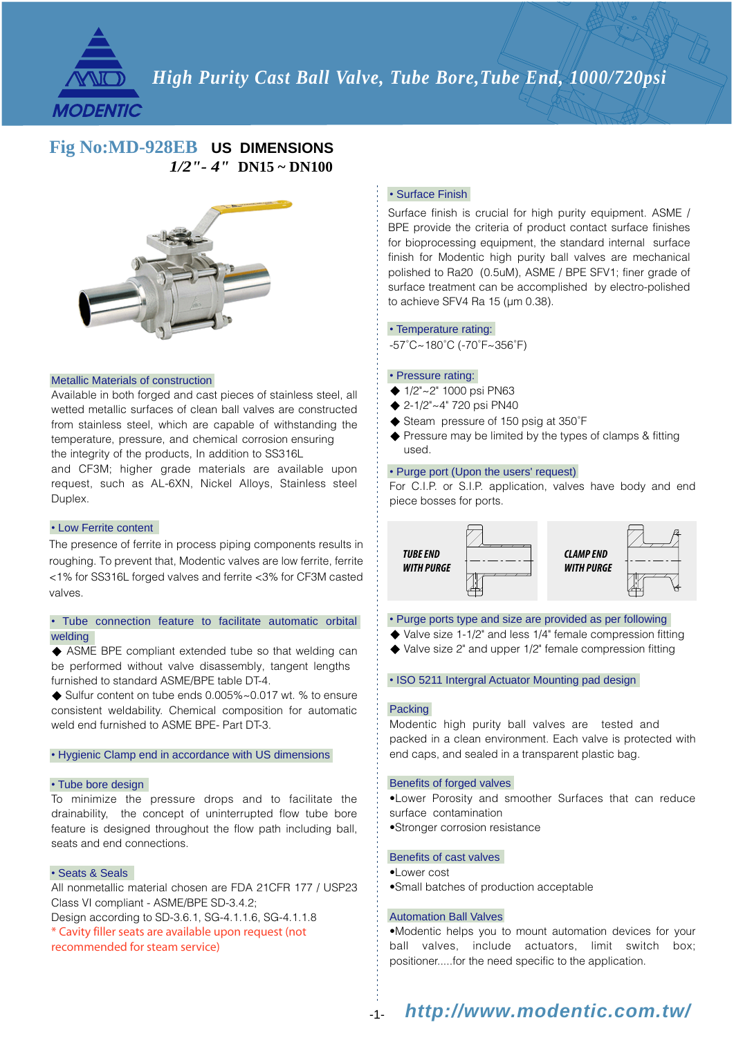

# *High Purity Cast Ball Valve, Tube Bore,Tube End, 1000/720psi*

### *1/2"- 4"* **DN15 ~ DN100 Fig No:MD-928EB US DIMENSIONS**



#### Metallic Materials of construction

Available in both forged and cast pieces of stainless steel, all wetted metallic surfaces of clean ball valves are constructed from stainless steel, which are capable of withstanding the temperature, pressure, and chemical corrosion ensuring the integrity of the products, In addition to SS316L

and CF3M; higher grade materials are available upon request, such as AL-6XN, Nickel Alloys, Stainless steel Duplex.

#### • Low Ferrite content

The presence of ferrite in process piping components results in roughing. To prevent that, Modentic valves are low ferrite, ferrite <1% for SS316L forged valves and ferrite <3% for CF3M casted valves.

#### • Tube connection feature to facilitate automatic orbital welding

ASME BPE compliant extended tube so that welding can be performed without valve disassembly, tangent lengths furnished to standard ASME/BPE table DT-4.

◆ Sulfur content on tube ends 0.005%~0.017 wt. % to ensure consistent weldability. Chemical composition for automatic weld end furnished to ASME BPE- Part DT-3.

### • Hygienic Clamp end in accordance with US dimensions

#### • Tube bore design

To minimize the pressure drops and to facilitate the drainability, the concept of uninterrupted flow tube bore feature is designed throughout the flow path including ball, seats and end connections.

#### • Seats & Seals

All nonmetallic material chosen are FDA 21CFR 177 / USP23 Class VI compliant - ASME/BPE SD-3.4.2; Design according to SD-3.6.1, SG-4.1.1.6, SG-4.1.1.8 \* Cavity filler seats are available upon request (not recommended for steam service)

#### • Surface Finish

Surface finish is crucial for high purity equipment. ASME / BPE provide the criteria of product contact surface finishes for bioprocessing equipment, the standard internal surface finish for Modentic high purity ball valves are mechanical polished to Ra20 (0.5uM), ASME / BPE SFV1; finer grade of surface treatment can be accomplished by electro-polished to achieve SFV4 Ra 15 (µm 0.38).

#### • Temperature rating:

-57˚C~180˚C (-70˚F~356˚F)

#### • Pressure rating:

- ◆ 1/2"~2" 1000 psi PN63
- ◆  $2-1/2"~2"$  720 psi PN40
- ◆ Steam pressure of 150 psig at 350°F
- ◆ Pressure may be limited by the types of clamps & fitting used.

#### • Purge port (Upon the users' request)

For C.I.P. or S.I.P. application, valves have body and end piece bosses for ports.



#### • Purge ports type and size are provided as per following

- ◆ Valve size 1-1/2" and less 1/4" female compression fitting
- Valve size 2" and upper 1/2" female compression fitting

#### • ISO 5211 Intergral Actuator Mounting pad design

#### **Packing**

Modentic high purity ball valves are tested and packed in a clean environment. Each valve is protected with end caps, and sealed in a transparent plastic bag.

#### Benefits of forged valves

•Lower Porosity and smoother Surfaces that can reduce surface contamination

•Stronger corrosion resistance

#### Benefits of cast valves

- •Lower cost
- •Small batches of production acceptable

#### Automation Ball Valves

•Modentic helps you to mount automation devices for your ball valves, include actuators, limit switch box; positioner.....for the need specific to the application.

#### *http://www.modentic.com.tw/* -1-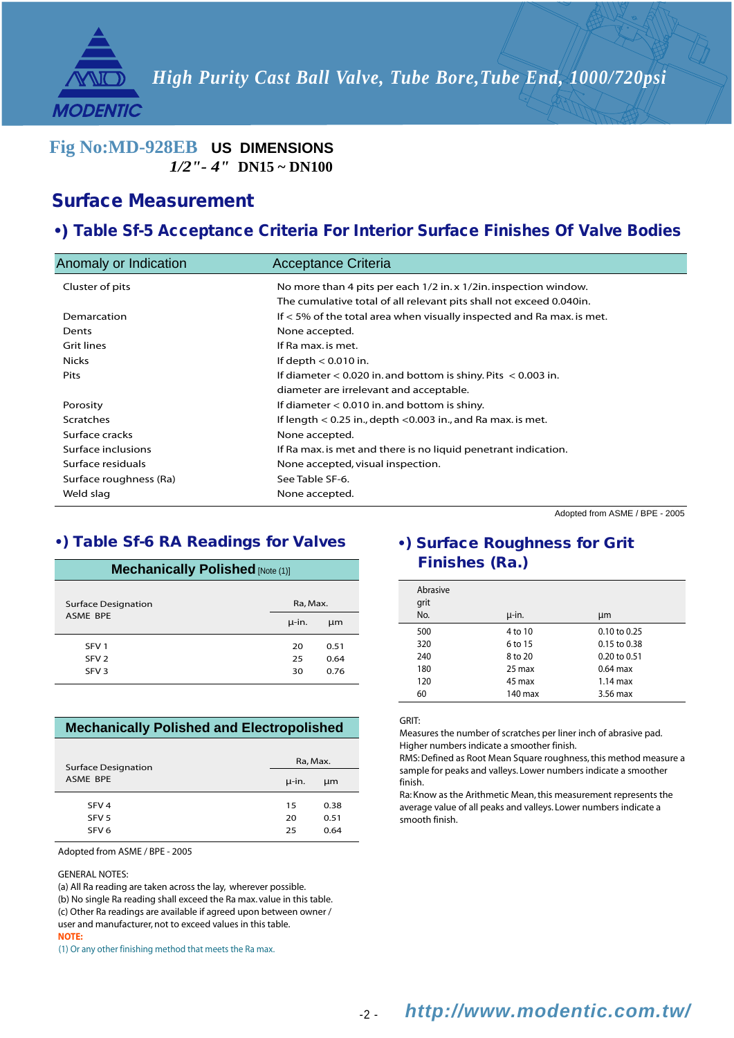*High Purity Cast Ball Valve, Tube Bore,Tube End, 1000/720psi*

### *1/2"- 4"* **DN15 ~ DN100 Fig No:MD-928EB US DIMENSIONS**

### Surface Measurement

**MODENTIC** 

### •) Table Sf-5 Acceptance Criteria For Interior Surface Finishes Of Valve Bodies

| Anomaly or Indication  | Acceptance Criteria                                                     |
|------------------------|-------------------------------------------------------------------------|
| Cluster of pits        | No more than 4 pits per each 1/2 in. x 1/2 in. inspection window.       |
|                        | The cumulative total of all relevant pits shall not exceed 0.040in.     |
| Demarcation            | If $<$ 5% of the total area when visually inspected and Ra max. is met. |
| Dents                  | None accepted.                                                          |
| Grit lines             | If Ra max, is met.                                                      |
| Nicks                  | If depth $< 0.010$ in.                                                  |
| <b>Pits</b>            | If diameter $< 0.020$ in. and bottom is shiny. Pits $< 0.003$ in.       |
|                        | diameter are irrelevant and acceptable.                                 |
| Porosity               | If diameter $< 0.010$ in. and bottom is shiny.                          |
| <b>Scratches</b>       | If length $< 0.25$ in., depth $< 0.003$ in., and Ra max, is met.        |
| Surface cracks         | None accepted.                                                          |
| Surface inclusions     | If Ra max, is met and there is no liquid penetrant indication.          |
| Surface residuals      | None accepted, visual inspection.                                       |
| Surface roughness (Ra) | See Table SF-6.                                                         |
| Weld slag              | None accepted.                                                          |
|                        |                                                                         |

Adopted from ASME / BPE - 2005

### •) Table Sf-6 RA Readings for Valves

### **Mechanically Polished** [Note (1)]

| <b>Surface Designation</b> | Ra, Max. |      |  |  |  |
|----------------------------|----------|------|--|--|--|
| <b>ASME BPE</b>            | µ-in.    | μm   |  |  |  |
| SFV <sub>1</sub>           | 20       | 0.51 |  |  |  |
| SFV <sub>2</sub>           | 25       | 0.64 |  |  |  |
| SFV <sub>3</sub>           | 30       | 0.76 |  |  |  |

### **Mechanically Polished and Electropolished**

| <b>Surface Designation</b> | Ra, Max. |      |  |  |
|----------------------------|----------|------|--|--|
| ASME BPE                   | µ-in.    | μm   |  |  |
| SFV <sub>4</sub>           | 15       | 0.38 |  |  |
| SFV <sub>5</sub>           | 20       | 0.51 |  |  |
| SFV <sub>6</sub>           | 25       | 0.64 |  |  |

Adopted from ASME / BPE - 2005

GENERAL NOTES:

(a) All Ra reading are taken across the lay, wherever possible.

(b) No single Ra reading shall exceed the Ra max. value in this table.

(c) Other Ra readings are available if agreed upon between owner / user and manufacturer, not to exceed values in this table.

**NOTE:**

(1) Or any other finishing method that meets the Ra max.

## •) Surface Roughness for Grit Finishes (Ra.)

| Abrasive<br>grit |         |                  |
|------------------|---------|------------------|
| No.              | µ-in.   | μm               |
| 500              | 4 to 10 | $0.10$ to $0.25$ |
| 320              | 6 to 15 | $0.15$ to $0.38$ |
| 240              | 8 to 20 | 0.20 to 0.51     |
| 180              | 25 max  | $0.64$ max       |
| 120              | 45 max  | $1.14$ max       |
| 60               | 140 max | 3.56 max         |

#### GRIT:

Measures the number of scratches per liner inch of abrasive pad. Higher numbers indicate a smoother finish.

RMS: Defined as Root Mean Square roughness, this method measure a sample for peaks and valleys. Lower numbers indicate a smoother finish.

Ra: Know as the Arithmetic Mean, this measurement represents the average value of all peaks and valleys. Lower numbers indicate a smooth finish.